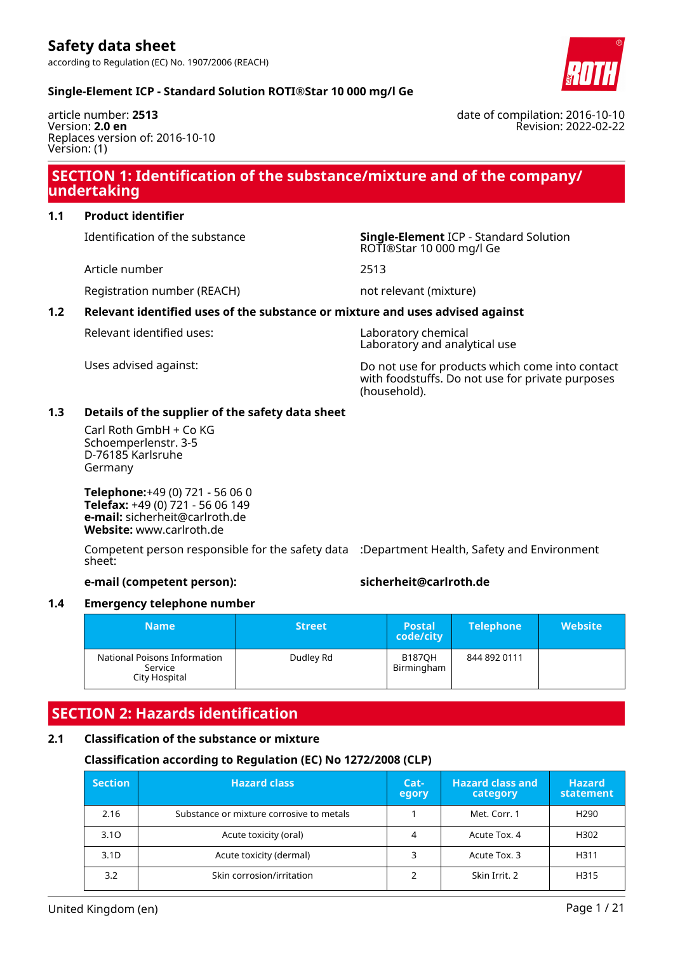

date of compilation: 2016-10-10

#### **Single-Element ICP - Standard Solution ROTI®Star 10 000 mg/l Ge**

article number: **2513** Version: **2.0 en** Replaces version of: 2016-10-10 Version: (1)

# Revision: 2022-02-22

### **SECTION 1: Identification of the substance/mixture and of the company/ undertaking**

#### **1.1 Product identifier**

Article number 2513

Identification of the substance **Single-Element** ICP - Standard Solution ROTI®Star 10 000 mg/l Ge

Registration number (REACH) not relevant (mixture)

#### **1.2 Relevant identified uses of the substance or mixture and uses advised against**

Relevant identified uses: Laboratory chemical

Laboratory and analytical use

Uses advised against: Do not use for products which come into contact with foodstuffs. Do not use for private purposes (household).

#### **1.3 Details of the supplier of the safety data sheet**

Carl Roth GmbH + Co KG Schoemperlenstr. 3-5 D-76185 Karlsruhe Germany

**Telephone:**+49 (0) 721 - 56 06 0 **Telefax:** +49 (0) 721 - 56 06 149 **e-mail:** sicherheit@carlroth.de **Website:** www.carlroth.de

Competent person responsible for the safety data :Department Health, Safety and Environment sheet:

#### **e-mail (competent person): sicherheit@carlroth.de**

#### **1.4 Emergency telephone number**

| <b>Name</b>                                              | <b>Street</b> | <b>Postal</b><br>code/city  | <b>Telephone</b> | <b>Website</b> |
|----------------------------------------------------------|---------------|-----------------------------|------------------|----------------|
| National Poisons Information<br>Service<br>City Hospital | Dudley Rd     | <b>B187OH</b><br>Birmingham | 844 892 0111     |                |

### **SECTION 2: Hazards identification**

#### **2.1 Classification of the substance or mixture**

#### **Classification according to Regulation (EC) No 1272/2008 (CLP)**

| <b>Section</b>   | <b>Hazard class</b>                      | $Cat-$<br>egory | <b>Hazard class and</b><br>category | <b>Hazard</b><br>statement |
|------------------|------------------------------------------|-----------------|-------------------------------------|----------------------------|
| 2.16             | Substance or mixture corrosive to metals |                 | Met. Corr. 1                        | H <sub>290</sub>           |
| 3.10             | Acute toxicity (oral)                    |                 | Acute Tox. 4                        | H302                       |
| 3.1 <sub>D</sub> | Acute toxicity (dermal)                  |                 | Acute Tox. 3                        | H311                       |
| 3.2              | Skin corrosion/irritation                |                 | Skin Irrit. 2                       | H315                       |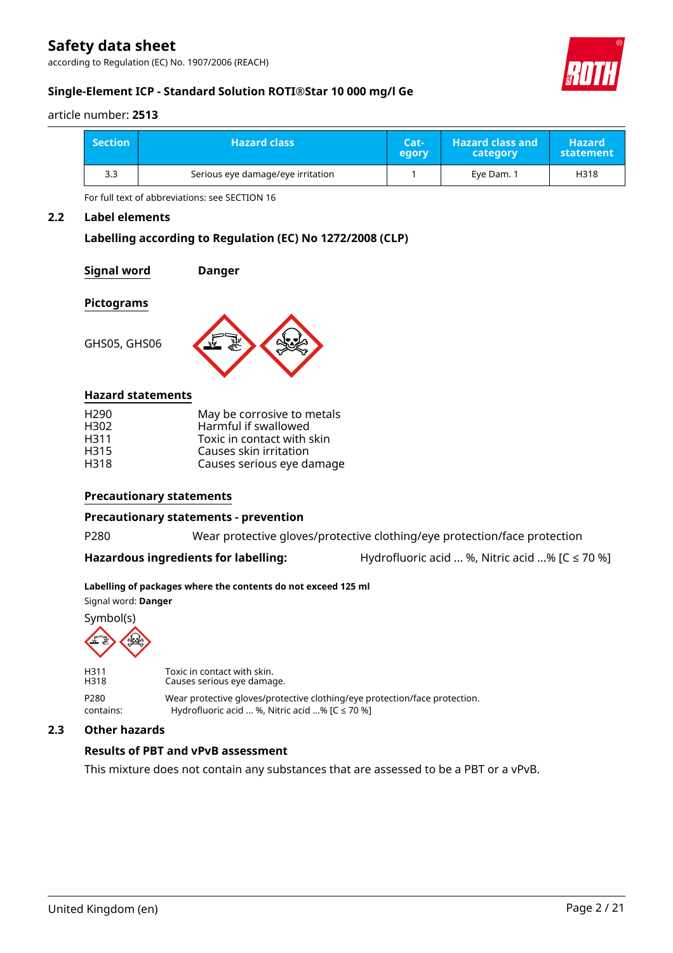according to Regulation (EC) No. 1907/2006 (REACH)



#### article number: **2513**

| <b>Section</b> | <b>Hazard class</b>               | Cat-<br>egory | <b>Hazard class and</b><br>category | <b>Hazard</b><br>statement |  |
|----------------|-----------------------------------|---------------|-------------------------------------|----------------------------|--|
| 3.3            | Serious eye damage/eye irritation |               | Eye Dam. 1                          | H318                       |  |

For full text of abbreviations: see SECTION 16

#### **2.2 Label elements**

#### **Labelling according to Regulation (EC) No 1272/2008 (CLP)**

**Signal word Danger**

#### **Pictograms**

GHS05, GHS06



#### **Hazard statements**

| May be corrosive to metals |
|----------------------------|
| Harmful if swallowed       |
| Toxic in contact with skin |
| Causes skin irritation     |
| Causes serious eye damage  |
|                            |

#### **Precautionary statements**

#### **Precautionary statements - prevention**

P280 Wear protective gloves/protective clothing/eye protection/face protection

**Hazardous ingredients for labelling:** Hydrofluoric acid ... %, Nitric acid ...% [C ≤ 70 %]

#### **Labelling of packages where the contents do not exceed 125 ml**

Signal word: **Danger**

Symbol(s)



H311 Toxic in contact with skin.<br>H318 Causes serious eve damage Causes serious eye damage. P280 Wear protective gloves/protective clothing/eye protection/face protection. contains: Hydrofluoric acid ... %, Nitric acid ...% [C ≤ 70 %]

#### **2.3 Other hazards**

### **Results of PBT and vPvB assessment**

This mixture does not contain any substances that are assessed to be a PBT or a vPvB.



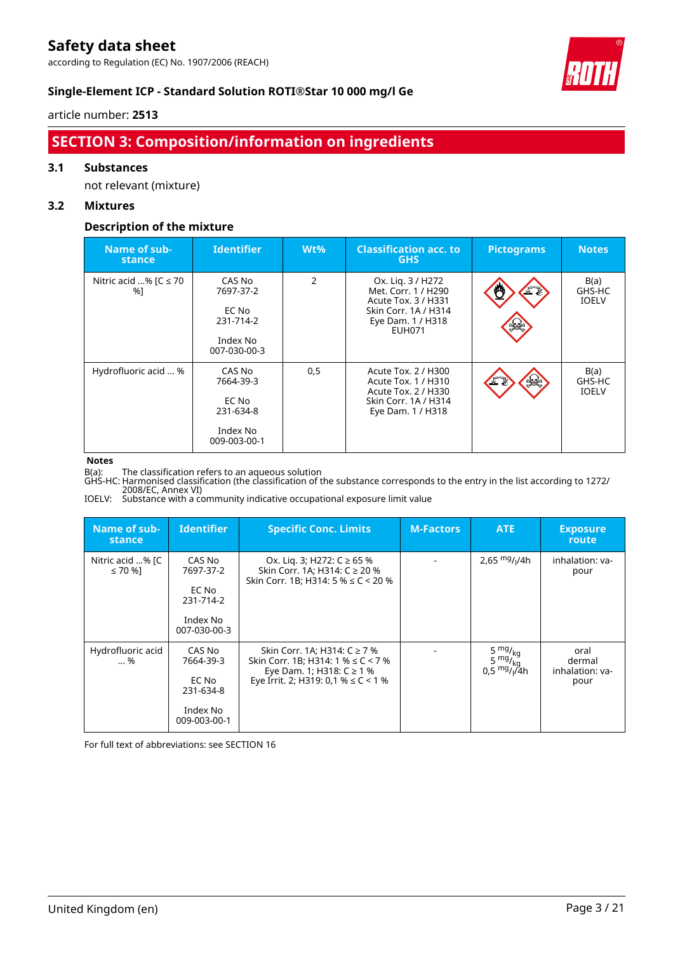according to Regulation (EC) No. 1907/2006 (REACH)



#### **Single-Element ICP - Standard Solution ROTI®Star 10 000 mg/l Ge**

#### article number: **2513**

### **SECTION 3: Composition/information on ingredients**

#### **3.1 Substances**

not relevant (mixture)

#### **3.2 Mixtures**

#### **Description of the mixture**

| Name of sub-<br><b>stance</b>    | <b>Identifier</b>                                                     | $Wt\%$        | <b>Classification acc. to</b><br><b>GHS</b>                                                                                   | <b>Pictograms</b> | <b>Notes</b>                   |
|----------------------------------|-----------------------------------------------------------------------|---------------|-------------------------------------------------------------------------------------------------------------------------------|-------------------|--------------------------------|
| Nitric acid % [ $C \le 70$<br>%1 | CAS No<br>7697-37-2<br>EC No<br>231-714-2<br>Index No<br>007-030-00-3 | $\mathcal{P}$ | Ox. Lig. 3 / H272<br>Met. Corr. 1 / H290<br>Acute Tox. 3 / H331<br>Skin Corr. 1A / H314<br>Eye Dam. 1 / H318<br><b>EUH071</b> | F                 | B(a)<br>GHS-HC<br><b>IOELV</b> |
| Hydrofluoric acid  %             | CAS No<br>7664-39-3<br>EC No<br>231-634-8<br>Index No<br>009-003-00-1 | 0,5           | Acute Tox. 2 / H300<br>Acute Tox. 1 / H310<br>Acute Tox. 2 / H330<br>Skin Corr. 1A / H314<br>Eye Dam. 1 / H318                | $rac{1}{2}$<br>ے. | B(a)<br>GHS-HC<br><b>IOELV</b> |

#### **Notes**

B(a): The classification refers to an aqueous solution

GHS-HC: Harmonised classification (the classification of the substance corresponds to the entry in the list according to 1272/ 2008/EC, Annex VI)

IOELV: Substance with a community indicative occupational exposure limit value

| Name of sub-<br>stance      | <b>Identifier</b>                                                     | <b>Specific Conc. Limits</b>                                                                                                                         | <b>M-Factors</b> | <b>ATE</b>                                                               | <b>Exposure</b><br>route                  |
|-----------------------------|-----------------------------------------------------------------------|------------------------------------------------------------------------------------------------------------------------------------------------------|------------------|--------------------------------------------------------------------------|-------------------------------------------|
| Nitric acid % [C<br>≤ 70 %] | CAS No<br>7697-37-2<br>EC No<br>231-714-2<br>Index No<br>007-030-00-3 | Ox. Lig. 3; H272: C ≥ 65 %<br>Skin Corr. 1A; H314: C ≥ 20 %<br>Skin Corr. 1B; H314: 5 % $\leq$ C < 20 %                                              |                  | 2,65 $mg/1/4h$                                                           | inhalation: va-<br>pour                   |
| Hydrofluoric acid<br>%      | CAS No<br>7664-39-3<br>EC No<br>231-634-8<br>Index No<br>009-003-00-1 | Skin Corr. 1A; H314: C ≥ 7 %<br>Skin Corr. 1B; H314: 1 % $\leq$ C < 7 %<br>Eye Dam. 1; H318: $C \ge 1$ %<br>Eye Irrit. 2; H319: 0,1 % $\leq$ C < 1 % |                  | 5 $mg/kg$<br>$5 \frac{mg}{kg}$<br>$0.5$ <sup>mg</sup> / <sub>i</sub> /4h | oral<br>dermal<br>inhalation: va-<br>pour |

For full text of abbreviations: see SECTION 16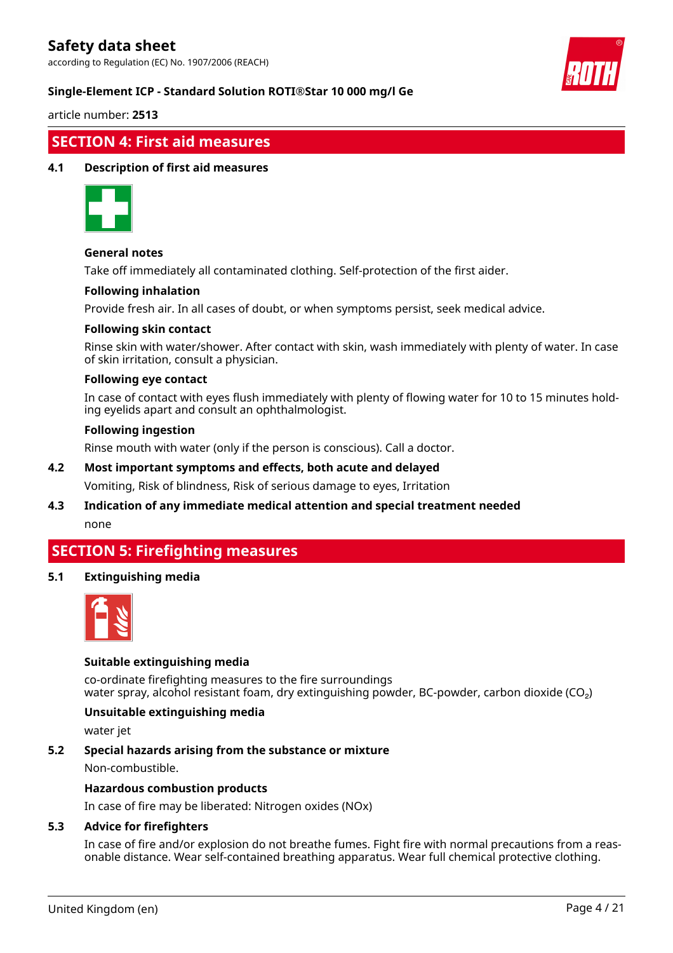according to Regulation (EC) No. 1907/2006 (REACH)



#### **Single-Element ICP - Standard Solution ROTI®Star 10 000 mg/l Ge**

article number: **2513**

### **SECTION 4: First aid measures**

#### **4.1 Description of first aid measures**



#### **General notes**

Take off immediately all contaminated clothing. Self-protection of the first aider.

#### **Following inhalation**

Provide fresh air. In all cases of doubt, or when symptoms persist, seek medical advice.

#### **Following skin contact**

Rinse skin with water/shower. After contact with skin, wash immediately with plenty of water. In case of skin irritation, consult a physician.

#### **Following eye contact**

In case of contact with eyes flush immediately with plenty of flowing water for 10 to 15 minutes holding eyelids apart and consult an ophthalmologist.

#### **Following ingestion**

Rinse mouth with water (only if the person is conscious). Call a doctor.

#### **4.2 Most important symptoms and effects, both acute and delayed**

Vomiting, Risk of blindness, Risk of serious damage to eyes, Irritation

#### **4.3 Indication of any immediate medical attention and special treatment needed** none

### **SECTION 5: Firefighting measures**

#### **5.1 Extinguishing media**



#### **Suitable extinguishing media**

co-ordinate firefighting measures to the fire surroundings water spray, alcohol resistant foam, dry extinguishing powder, BC-powder, carbon dioxide (CO<sub>2</sub>)

#### **Unsuitable extinguishing media**

water jet

#### **5.2 Special hazards arising from the substance or mixture**

Non-combustible.

#### **Hazardous combustion products**

In case of fire may be liberated: Nitrogen oxides (NOx)

#### **5.3 Advice for firefighters**

In case of fire and/or explosion do not breathe fumes. Fight fire with normal precautions from a reasonable distance. Wear self-contained breathing apparatus. Wear full chemical protective clothing.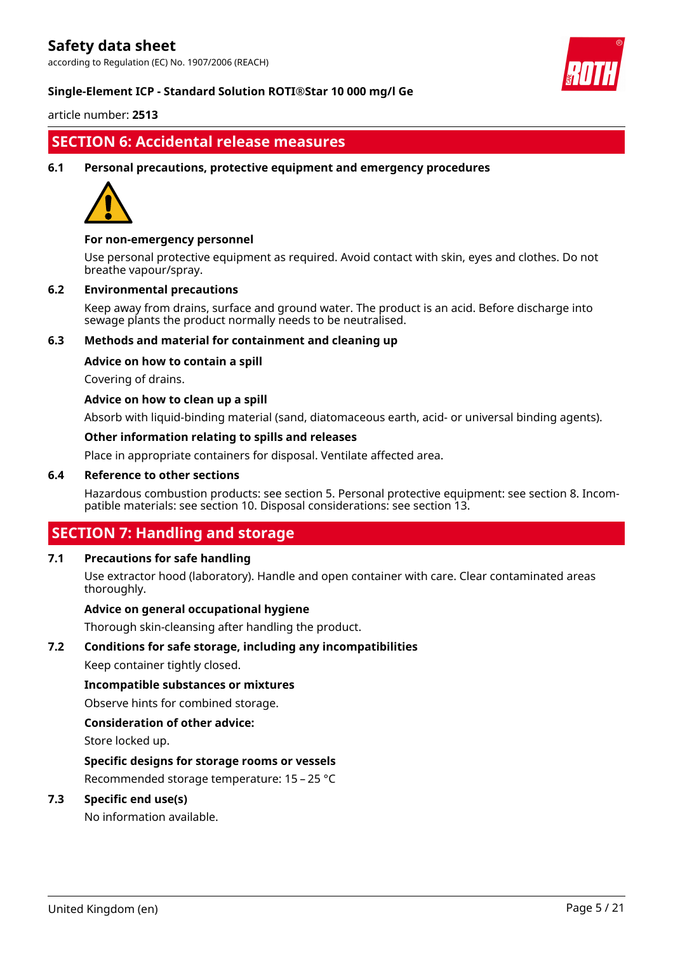according to Regulation (EC) No. 1907/2006 (REACH)



#### **Single-Element ICP - Standard Solution ROTI®Star 10 000 mg/l Ge**

article number: **2513**

### **SECTION 6: Accidental release measures**

#### **6.1 Personal precautions, protective equipment and emergency procedures**



#### **For non-emergency personnel**

Use personal protective equipment as required. Avoid contact with skin, eyes and clothes. Do not breathe vapour/spray.

#### **6.2 Environmental precautions**

Keep away from drains, surface and ground water. The product is an acid. Before discharge into sewage plants the product normally needs to be neutralised.

#### **6.3 Methods and material for containment and cleaning up**

#### **Advice on how to contain a spill**

Covering of drains.

#### **Advice on how to clean up a spill**

Absorb with liquid-binding material (sand, diatomaceous earth, acid- or universal binding agents).

#### **Other information relating to spills and releases**

Place in appropriate containers for disposal. Ventilate affected area.

#### **6.4 Reference to other sections**

Hazardous combustion products: see section 5. Personal protective equipment: see section 8. Incompatible materials: see section 10. Disposal considerations: see section 13.

### **SECTION 7: Handling and storage**

#### **7.1 Precautions for safe handling**

Use extractor hood (laboratory). Handle and open container with care. Clear contaminated areas thoroughly.

#### **Advice on general occupational hygiene**

Thorough skin-cleansing after handling the product.

#### **7.2 Conditions for safe storage, including any incompatibilities**

Keep container tightly closed.

#### **Incompatible substances or mixtures**

Observe hints for combined storage.

#### **Consideration of other advice:**

Store locked up.

#### **Specific designs for storage rooms or vessels**

Recommended storage temperature: 15 – 25 °C

#### **7.3 Specific end use(s)**

No information available.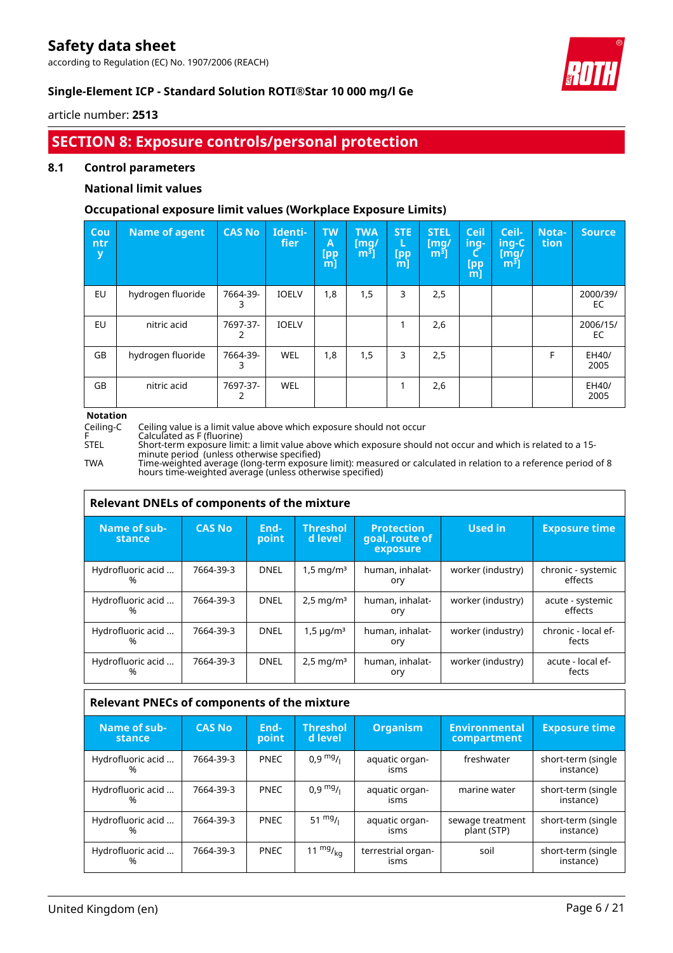according to Regulation (EC) No. 1907/2006 (REACH)



#### **Single-Element ICP - Standard Solution ROTI®Star 10 000 mg/l Ge**

article number: **2513**

### **SECTION 8: Exposure controls/personal protection**

#### **8.1 Control parameters**

#### **National limit values**

#### **Occupational exposure limit values (Workplace Exposure Limits)**

| Cou<br>ntr<br>у | <b>Name of agent</b> | <b>CAS No</b> | Identi-<br>fier | <b>TW</b><br>Α<br><b>[pp</b><br>[m] | <b>TWA</b><br>$\lceil \mathsf{mq}/ \rceil$<br>$m3$ ] | <b>STE</b><br>L<br>[pp]<br>[m] | <b>STEL</b><br>[mq/<br>m <sup>3</sup> | <b>Ceil</b><br>ing-<br>C<br>[pp<br>[m] | Ceil-<br>ing-C<br>[mq/<br>m <sup>3</sup> | Nota-<br>tion | <b>Source</b>  |
|-----------------|----------------------|---------------|-----------------|-------------------------------------|------------------------------------------------------|--------------------------------|---------------------------------------|----------------------------------------|------------------------------------------|---------------|----------------|
| EU              | hydrogen fluoride    | 7664-39-<br>3 | <b>IOELV</b>    | 1,8                                 | 1,5                                                  | 3                              | 2,5                                   |                                        |                                          |               | 2000/39/<br>EC |
| EU              | nitric acid          | 7697-37-<br>2 | <b>IOELV</b>    |                                     |                                                      |                                | 2,6                                   |                                        |                                          |               | 2006/15/<br>EC |
| GB              | hydrogen fluoride    | 7664-39-<br>3 | <b>WEL</b>      | 1,8                                 | 1,5                                                  | 3                              | 2,5                                   |                                        |                                          | F             | EH40/<br>2005  |
| GB              | nitric acid          | 7697-37-      | <b>WEL</b>      |                                     |                                                      |                                | 2,6                                   |                                        |                                          |               | EH40/<br>2005  |

## **Notation**

Ceiling-C Ceiling value is a limit value above which exposure should not occur

- 
- 

F Calculated as F (fluorine) STEL Short-term exposure limit: a limit value above which exposure should not occur and which is related to a 15 minute period (unless otherwise specified)

TWA Time-weighted average (long-term exposure limit): measured or calculated in relation to a reference period of 8 hours time-weighted average (unless otherwise specified)

| Relevant DNELs of components of the mixture |               |               |                            |                                                 |                   |                               |  |  |  |
|---------------------------------------------|---------------|---------------|----------------------------|-------------------------------------------------|-------------------|-------------------------------|--|--|--|
| Name of sub-<br>stance                      | <b>CAS No</b> | End-<br>point | <b>Threshol</b><br>d level | <b>Protection</b><br>goal, route of<br>exposure | Used in           | <b>Exposure time</b>          |  |  |  |
| Hydrofluoric acid<br>%                      | 7664-39-3     | <b>DNEL</b>   | $1,5 \,\mathrm{mq/m^3}$    | human, inhalat-<br>ory                          | worker (industry) | chronic - systemic<br>effects |  |  |  |
| Hydrofluoric acid<br>%                      | 7664-39-3     | <b>DNEL</b>   | $2,5 \,\mathrm{mg/m^3}$    | human, inhalat-<br>ory                          | worker (industry) | acute - systemic<br>effects   |  |  |  |
| Hydrofluoric acid<br>%                      | 7664-39-3     | <b>DNEL</b>   | $1,5 \mu q/m^3$            | human, inhalat-<br>ory                          | worker (industry) | chronic - local ef-<br>fects  |  |  |  |
| Hydrofluoric acid<br>%                      | 7664-39-3     | <b>DNEL</b>   | $2,5 \,\mathrm{mg/m^3}$    | human, inhalat-<br>ory                          | worker (industry) | acute - local ef-<br>fects    |  |  |  |

| Relevant PNECs of components of the mixture |               |               |                            |                            |                                     |                                 |  |  |  |
|---------------------------------------------|---------------|---------------|----------------------------|----------------------------|-------------------------------------|---------------------------------|--|--|--|
| Name of sub-<br>stance                      | <b>CAS No</b> | End-<br>point | <b>Threshol</b><br>d level | <b>Organism</b>            | <b>Environmental</b><br>compartment | <b>Exposure time</b>            |  |  |  |
| Hydrofluoric acid<br>%                      | 7664-39-3     | <b>PNEC</b>   | $0.9 \frac{mg}{l}$         | aquatic organ-<br>isms     | freshwater                          | short-term (single<br>instance) |  |  |  |
| Hydrofluoric acid<br>℆                      | 7664-39-3     | <b>PNEC</b>   | $0.9 \frac{mg}{l}$         | aquatic organ-<br>isms     | marine water                        | short-term (single<br>instance) |  |  |  |
| Hydrofluoric acid<br>%                      | 7664-39-3     | <b>PNEC</b>   | $51 \frac{mg}{l}$          | aquatic organ-<br>isms     | sewage treatment<br>plant (STP)     | short-term (single<br>instance) |  |  |  |
| Hydrofluoric acid<br>%                      | 7664-39-3     | <b>PNEC</b>   | 11 $mg/_{ka}$              | terrestrial organ-<br>isms | soil                                | short-term (single<br>instance) |  |  |  |

٦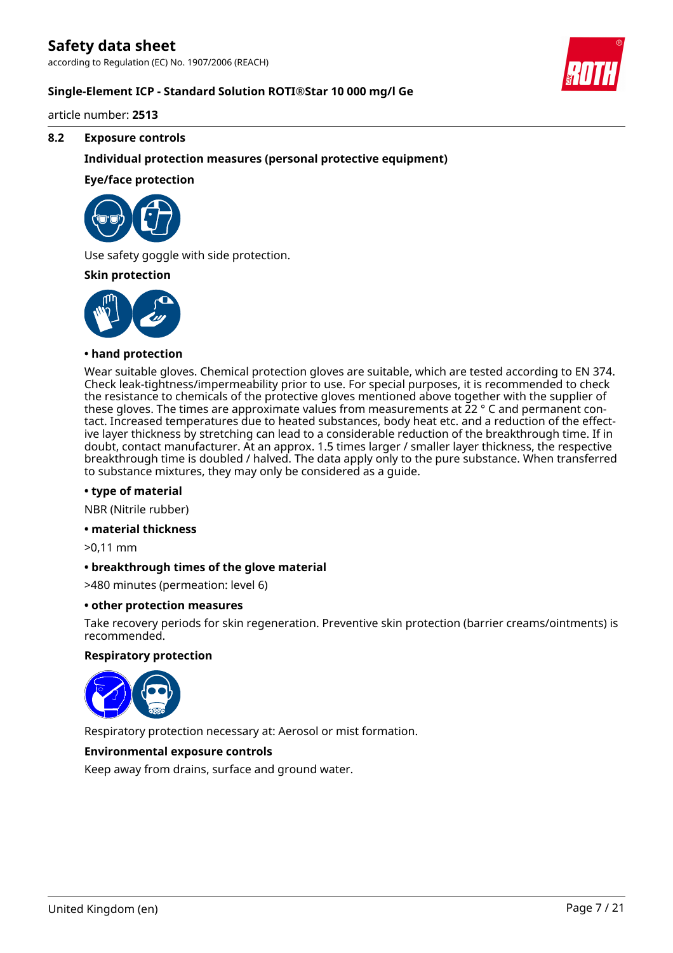according to Regulation (EC) No. 1907/2006 (REACH)

#### **Single-Element ICP - Standard Solution ROTI®Star 10 000 mg/l Ge**

article number: **2513**

#### **8.2 Exposure controls**

#### **Individual protection measures (personal protective equipment)**

#### **Eye/face protection**



Use safety goggle with side protection.

#### **Skin protection**



#### **• hand protection**

Wear suitable gloves. Chemical protection gloves are suitable, which are tested according to EN 374. Check leak-tightness/impermeability prior to use. For special purposes, it is recommended to check the resistance to chemicals of the protective gloves mentioned above together with the supplier of these gloves. The times are approximate values from measurements at 22 ° C and permanent contact. Increased temperatures due to heated substances, body heat etc. and a reduction of the effective layer thickness by stretching can lead to a considerable reduction of the breakthrough time. If in doubt, contact manufacturer. At an approx. 1.5 times larger / smaller layer thickness, the respective breakthrough time is doubled / halved. The data apply only to the pure substance. When transferred to substance mixtures, they may only be considered as a guide.

#### **• type of material**

NBR (Nitrile rubber)

#### **• material thickness**

>0,11 mm

#### **• breakthrough times of the glove material**

>480 minutes (permeation: level 6)

#### **• other protection measures**

Take recovery periods for skin regeneration. Preventive skin protection (barrier creams/ointments) is recommended.

#### **Respiratory protection**



Respiratory protection necessary at: Aerosol or mist formation.

#### **Environmental exposure controls**

Keep away from drains, surface and ground water.

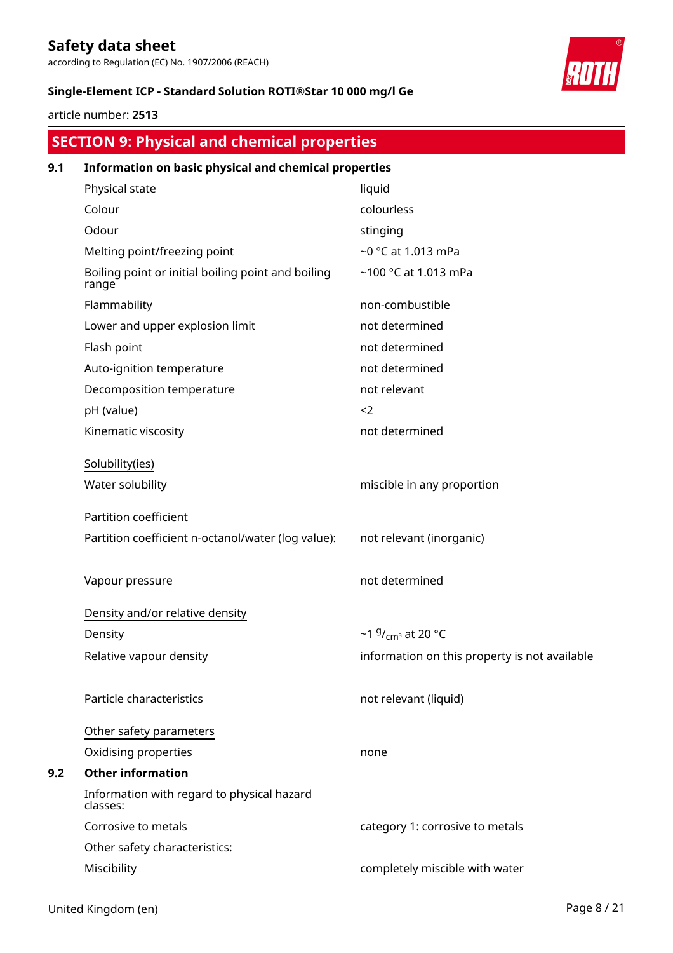according to Regulation (EC) No. 1907/2006 (REACH)

#### **Single-Element ICP - Standard Solution ROTI®Star 10 000 mg/l Ge**

article number: **2513**

## **SECTION 9: Physical and chemical properties**

| 9.1 | Information on basic physical and chemical properties       |                                               |  |  |  |  |  |
|-----|-------------------------------------------------------------|-----------------------------------------------|--|--|--|--|--|
|     | Physical state                                              | liquid                                        |  |  |  |  |  |
|     | Colour                                                      | colourless                                    |  |  |  |  |  |
|     | Odour                                                       | stinging                                      |  |  |  |  |  |
|     | Melting point/freezing point                                | ~0 °C at 1.013 mPa                            |  |  |  |  |  |
|     | Boiling point or initial boiling point and boiling<br>range | ~100 °C at 1.013 mPa                          |  |  |  |  |  |
|     | Flammability                                                | non-combustible                               |  |  |  |  |  |
|     | Lower and upper explosion limit                             | not determined                                |  |  |  |  |  |
|     | Flash point                                                 | not determined                                |  |  |  |  |  |
|     | Auto-ignition temperature                                   | not determined                                |  |  |  |  |  |
|     | Decomposition temperature                                   | not relevant                                  |  |  |  |  |  |
|     | pH (value)                                                  | $2$                                           |  |  |  |  |  |
|     | Kinematic viscosity                                         | not determined                                |  |  |  |  |  |
|     | Solubility(ies)                                             |                                               |  |  |  |  |  |
|     | Water solubility                                            | miscible in any proportion                    |  |  |  |  |  |
|     | Partition coefficient                                       |                                               |  |  |  |  |  |
|     | Partition coefficient n-octanol/water (log value):          | not relevant (inorganic)                      |  |  |  |  |  |
|     | Vapour pressure                                             | not determined                                |  |  |  |  |  |
|     | Density and/or relative density                             |                                               |  |  |  |  |  |
|     | Density                                                     | ~1 $9/$ <sub>cm</sub> at 20 °C                |  |  |  |  |  |
|     | Relative vapour density                                     | information on this property is not available |  |  |  |  |  |
|     | Particle characteristics                                    | not relevant (liquid)                         |  |  |  |  |  |
|     | Other safety parameters                                     |                                               |  |  |  |  |  |
|     | Oxidising properties                                        | none                                          |  |  |  |  |  |
| 9.2 | <b>Other information</b>                                    |                                               |  |  |  |  |  |
|     | Information with regard to physical hazard<br>classes:      |                                               |  |  |  |  |  |
|     | Corrosive to metals                                         | category 1: corrosive to metals               |  |  |  |  |  |
|     | Other safety characteristics:                               |                                               |  |  |  |  |  |
|     | Miscibility                                                 | completely miscible with water                |  |  |  |  |  |

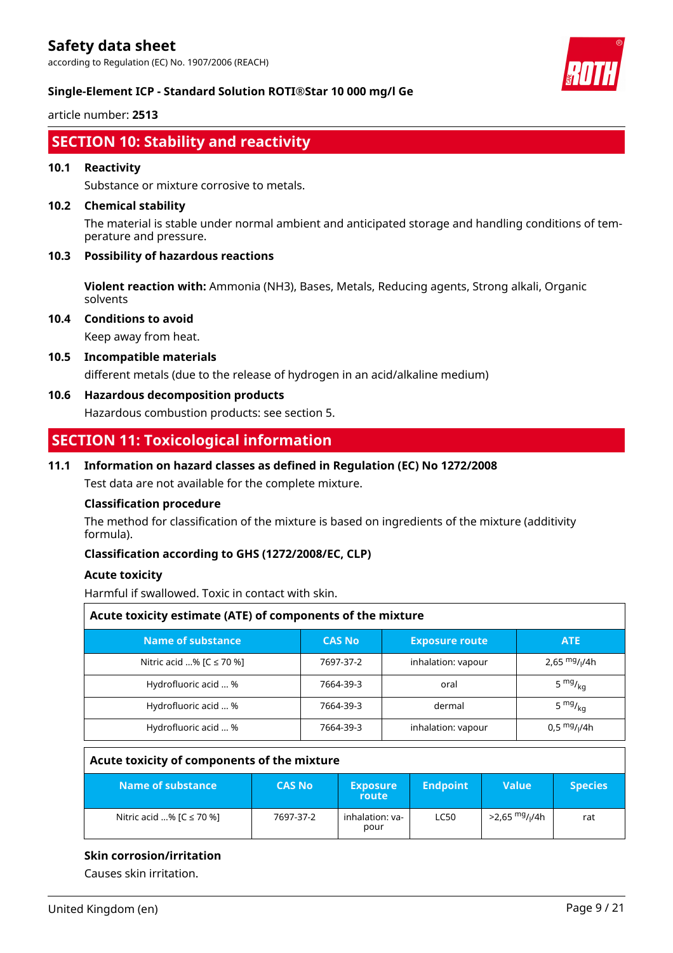according to Regulation (EC) No. 1907/2006 (REACH)



#### **Single-Element ICP - Standard Solution ROTI®Star 10 000 mg/l Ge**

article number: **2513**

### **SECTION 10: Stability and reactivity**

#### **10.1 Reactivity**

Substance or mixture corrosive to metals.

#### **10.2 Chemical stability**

The material is stable under normal ambient and anticipated storage and handling conditions of temperature and pressure.

#### **10.3 Possibility of hazardous reactions**

**Violent reaction with:** Ammonia (NH3), Bases, Metals, Reducing agents, Strong alkali, Organic solvents

**10.4 Conditions to avoid**

Keep away from heat.

**10.5 Incompatible materials**

different metals (due to the release of hydrogen in an acid/alkaline medium)

#### **10.6 Hazardous decomposition products**

Hazardous combustion products: see section 5.

### **SECTION 11: Toxicological information**

#### **11.1 Information on hazard classes as defined in Regulation (EC) No 1272/2008**

Test data are not available for the complete mixture.

#### **Classification procedure**

The method for classification of the mixture is based on ingredients of the mixture (additivity formula).

#### **Classification according to GHS (1272/2008/EC, CLP)**

#### **Acute toxicity**

Harmful if swallowed. Toxic in contact with skin.

| Acute toxicity estimate (ATE) of components of the mixture |               |                       |                       |  |  |  |  |
|------------------------------------------------------------|---------------|-----------------------|-----------------------|--|--|--|--|
| Name of substance                                          | <b>CAS No</b> | <b>Exposure route</b> | <b>ATE</b>            |  |  |  |  |
| Nitric acid % [C ≤ 70 %]                                   | 7697-37-2     | inhalation: vapour    | 2,65 $mg/1/4h$        |  |  |  |  |
| Hydrofluoric acid  %                                       | 7664-39-3     | oral                  | 5 $mg/kq$             |  |  |  |  |
| Hydrofluoric acid  %                                       | 7664-39-3     | dermal                | 5 $mg/kq$             |  |  |  |  |
| Hydrofluoric acid  %                                       | 7664-39-3     | inhalation: vapour    | $0.5 \frac{mg}{1/4h}$ |  |  |  |  |

#### **Acute toxicity of components of the mixture**

| Name of substance            | <b>CAS No</b> | <b>Exposure</b><br>route | <b>Endpoint</b> | Value                                  | <b>Species</b> |
|------------------------------|---------------|--------------------------|-----------------|----------------------------------------|----------------|
| Nitric acid % $[C \le 70$ %] | 7697-37-2     | inhalation: va-<br>pour  | <b>LC50</b>     | >2,65 <sup>mg</sup> / <sub>l</sub> /4h | rat            |

#### **Skin corrosion/irritation**

Causes skin irritation.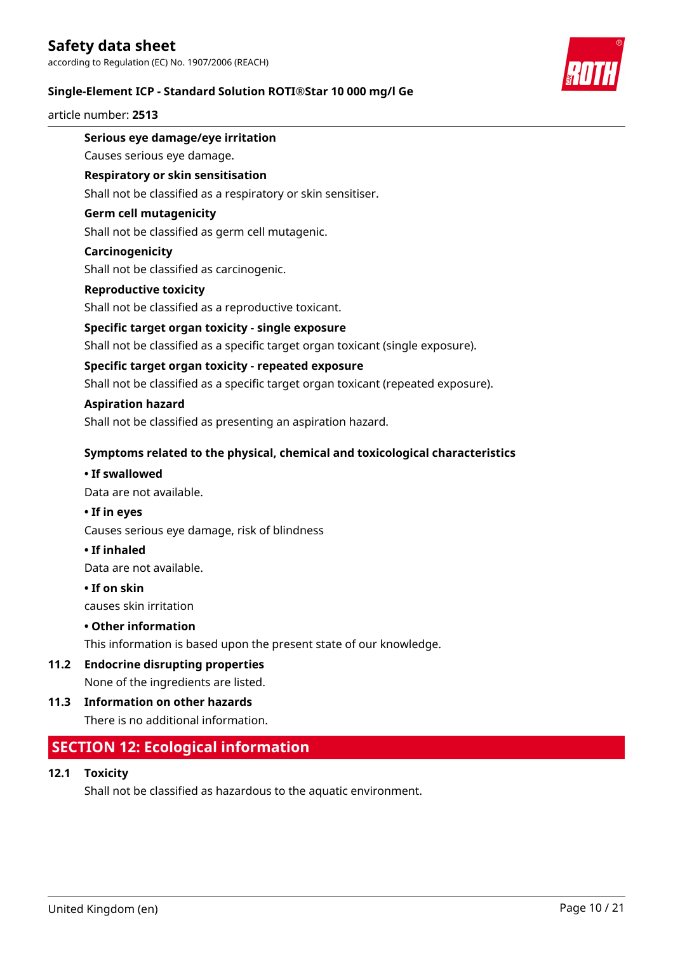according to Regulation (EC) No. 1907/2006 (REACH)

#### **Single-Element ICP - Standard Solution ROTI®Star 10 000 mg/l Ge**

#### article number: **2513**



#### **Serious eye damage/eye irritation**

Causes serious eye damage.

#### **Respiratory or skin sensitisation**

Shall not be classified as a respiratory or skin sensitiser.

#### **Germ cell mutagenicity**

Shall not be classified as germ cell mutagenic.

#### **Carcinogenicity**

Shall not be classified as carcinogenic.

#### **Reproductive toxicity**

Shall not be classified as a reproductive toxicant.

#### **Specific target organ toxicity - single exposure**

Shall not be classified as a specific target organ toxicant (single exposure).

#### **Specific target organ toxicity - repeated exposure**

Shall not be classified as a specific target organ toxicant (repeated exposure).

#### **Aspiration hazard**

Shall not be classified as presenting an aspiration hazard.

#### **Symptoms related to the physical, chemical and toxicological characteristics**

#### **• If swallowed**

Data are not available.

#### **• If in eyes**

Causes serious eye damage, risk of blindness

#### **• If inhaled**

Data are not available.

#### **• If on skin**

causes skin irritation

#### **• Other information**

This information is based upon the present state of our knowledge.

#### **11.2 Endocrine disrupting properties**

None of the ingredients are listed.

### **11.3 Information on other hazards**

There is no additional information.

#### **SECTION 12: Ecological information**

#### **12.1 Toxicity**

Shall not be classified as hazardous to the aquatic environment.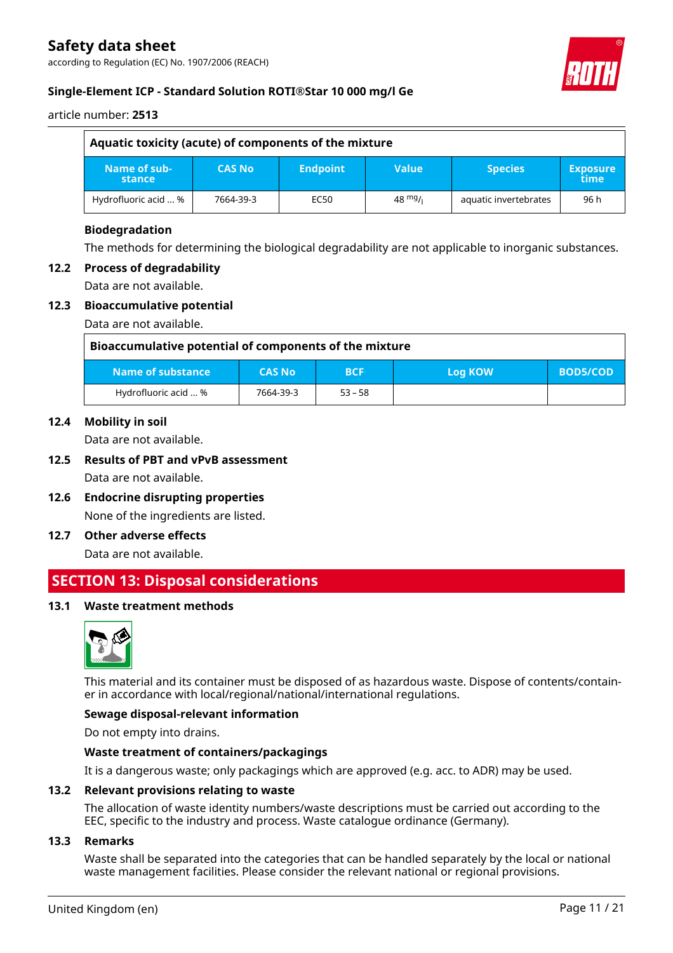according to Regulation (EC) No. 1907/2006 (REACH)



#### **Single-Element ICP - Standard Solution ROTI®Star 10 000 mg/l Ge**

article number: **2513**

| Aquatic toxicity (acute) of components of the mixture |               |                 |                   |                       |                         |
|-------------------------------------------------------|---------------|-----------------|-------------------|-----------------------|-------------------------|
| Name of sub-<br>stance                                | <b>CAS No</b> | <b>Endpoint</b> | <b>Value</b>      | <b>Species</b>        | <b>Exposure</b><br>time |
| Hydrofluoric acid  %                                  | 7664-39-3     | EC50            | $48 \frac{mg}{l}$ | aquatic invertebrates | 96 h                    |

#### **Biodegradation**

The methods for determining the biological degradability are not applicable to inorganic substances.

#### **12.2 Process of degradability**

Data are not available.

#### **12.3 Bioaccumulative potential**

Data are not available.

| Bioaccumulative potential of components of the mixture |               |            |                |                 |
|--------------------------------------------------------|---------------|------------|----------------|-----------------|
| Name of substance                                      | <b>CAS No</b> | <b>BCF</b> | <b>Log KOW</b> | <b>BOD5/COD</b> |
| Hydrofluoric acid  %                                   | 7664-39-3     | $53 - 58$  |                |                 |

#### **12.4 Mobility in soil**

Data are not available.

#### **12.5 Results of PBT and vPvB assessment**

Data are not available.

- **12.6 Endocrine disrupting properties** None of the ingredients are listed.
- **12.7 Other adverse effects**

Data are not available.

### **SECTION 13: Disposal considerations**

#### **13.1 Waste treatment methods**



This material and its container must be disposed of as hazardous waste. Dispose of contents/container in accordance with local/regional/national/international regulations.

#### **Sewage disposal-relevant information**

Do not empty into drains.

#### **Waste treatment of containers/packagings**

It is a dangerous waste; only packagings which are approved (e.g. acc. to ADR) may be used.

#### **13.2 Relevant provisions relating to waste**

The allocation of waste identity numbers/waste descriptions must be carried out according to the EEC, specific to the industry and process. Waste catalogue ordinance (Germany).

#### **13.3 Remarks**

Waste shall be separated into the categories that can be handled separately by the local or national waste management facilities. Please consider the relevant national or regional provisions.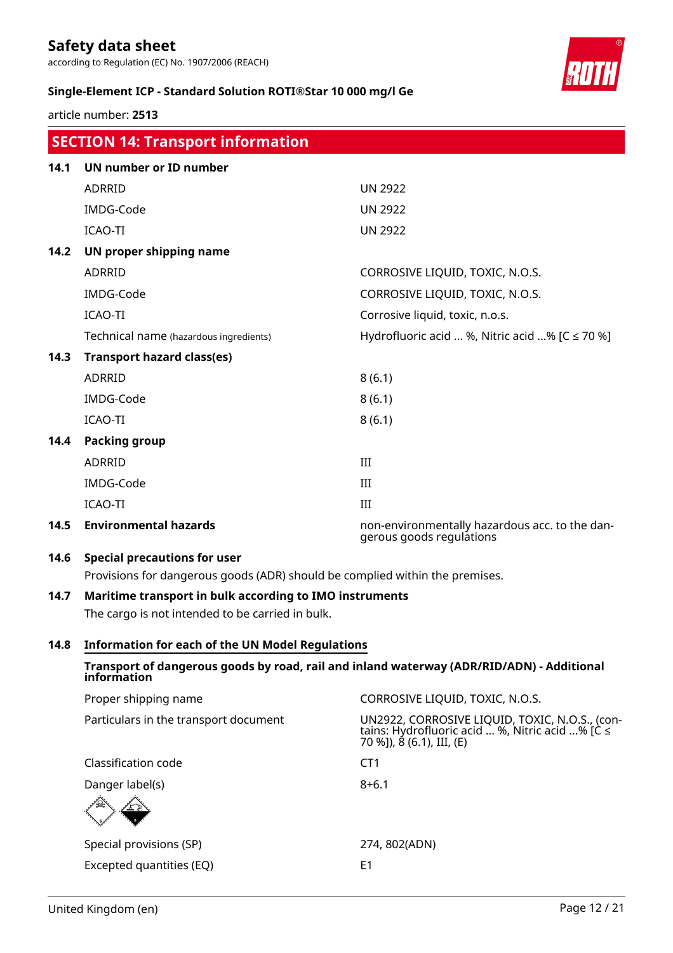according to Regulation (EC) No. 1907/2006 (REACH)

#### **Single-Element ICP - Standard Solution ROTI®Star 10 000 mg/l Ge**

article number: **2513**

|      | <b>SECTION 14: Transport information</b>                                     |                                                                            |  |
|------|------------------------------------------------------------------------------|----------------------------------------------------------------------------|--|
| 14.1 | <b>UN number or ID number</b>                                                |                                                                            |  |
|      | ADRRID                                                                       | <b>UN 2922</b>                                                             |  |
|      | IMDG-Code                                                                    | <b>UN 2922</b>                                                             |  |
|      | <b>ICAO-TI</b>                                                               | <b>UN 2922</b>                                                             |  |
| 14.2 | UN proper shipping name                                                      |                                                                            |  |
|      | <b>ADRRID</b>                                                                | CORROSIVE LIQUID, TOXIC, N.O.S.                                            |  |
|      | IMDG-Code                                                                    | CORROSIVE LIQUID, TOXIC, N.O.S.                                            |  |
|      | <b>ICAO-TI</b>                                                               | Corrosive liquid, toxic, n.o.s.                                            |  |
|      | Technical name (hazardous ingredients)                                       | Hydrofluoric acid  %, Nitric acid % $[C \le 70$ %]                         |  |
| 14.3 | <b>Transport hazard class(es)</b>                                            |                                                                            |  |
|      | <b>ADRRID</b>                                                                | 8(6.1)                                                                     |  |
|      | IMDG-Code                                                                    | 8(6.1)                                                                     |  |
|      | <b>ICAO-TI</b>                                                               | 8(6.1)                                                                     |  |
| 14.4 | <b>Packing group</b>                                                         |                                                                            |  |
|      | <b>ADRRID</b>                                                                | III                                                                        |  |
|      | IMDG-Code                                                                    | III                                                                        |  |
|      | <b>ICAO-TI</b>                                                               | III                                                                        |  |
| 14.5 | <b>Environmental hazards</b>                                                 | non-environmentally hazardous acc. to the dan-<br>gerous goods regulations |  |
| 14.6 | <b>Special precautions for user</b>                                          |                                                                            |  |
|      | Provisions for dangerous goods (ADR) should be complied within the premises. |                                                                            |  |

### **14.7 Maritime transport in bulk according to IMO instruments**

The cargo is not intended to be carried in bulk.

#### **14.8 Information for each of the UN Model Regulations**

#### **Transport of dangerous goods by road, rail and inland waterway (ADR/RID/ADN) - Additional information**

| Proper shipping name                  | CORROSIVE LIQUID, TOXIC, N.O.S.                                                                                           |
|---------------------------------------|---------------------------------------------------------------------------------------------------------------------------|
| Particulars in the transport document | UN2922, CORROSIVE LIQUID, TOXIC, N.O.S., (contains: Hydrofluoric acid  %, Nitric acid % [C ≤<br>70 %]), 8 (6.1), III, (E) |
| Classification code                   | CT1                                                                                                                       |
| Danger label(s)<br>不可                 | $8 + 6.1$                                                                                                                 |
| Special provisions (SP)               | 274, 802(ADN)                                                                                                             |
| Excepted quantities (EQ)              | E1                                                                                                                        |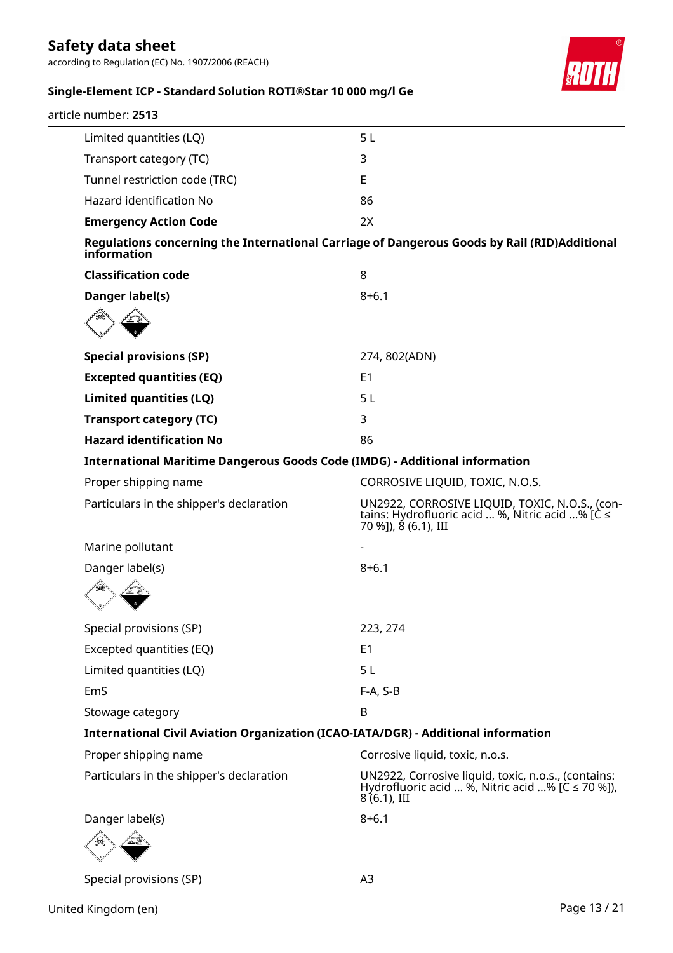according to Regulation (EC) No. 1907/2006 (REACH)



### **Single-Element ICP - Standard Solution ROTI®Star 10 000 mg/l Ge**

| article number: 2513                                                               |                                                                                                                           |
|------------------------------------------------------------------------------------|---------------------------------------------------------------------------------------------------------------------------|
| Limited quantities (LQ)                                                            | 5 <sub>L</sub>                                                                                                            |
| Transport category (TC)                                                            | 3                                                                                                                         |
| Tunnel restriction code (TRC)                                                      | E                                                                                                                         |
| Hazard identification No                                                           | 86                                                                                                                        |
| <b>Emergency Action Code</b>                                                       | 2X                                                                                                                        |
| information                                                                        | Regulations concerning the International Carriage of Dangerous Goods by Rail (RID)Additional                              |
| <b>Classification code</b>                                                         | 8                                                                                                                         |
| Danger label(s)                                                                    | $8 + 6.1$                                                                                                                 |
|                                                                                    |                                                                                                                           |
| <b>Special provisions (SP)</b>                                                     | 274, 802(ADN)                                                                                                             |
| <b>Excepted quantities (EQ)</b>                                                    | E <sub>1</sub>                                                                                                            |
| Limited quantities (LQ)                                                            | 5L                                                                                                                        |
| <b>Transport category (TC)</b>                                                     | 3                                                                                                                         |
| <b>Hazard identification No</b>                                                    | 86                                                                                                                        |
| International Maritime Dangerous Goods Code (IMDG) - Additional information        |                                                                                                                           |
| Proper shipping name                                                               | CORROSIVE LIQUID, TOXIC, N.O.S.                                                                                           |
| Particulars in the shipper's declaration                                           | UN2922, CORROSIVE LIQUID, TOXIC, N.O.S., (contains: Hydrofluoric acid  %, Nitric acid % [C ≤<br>70 %]), 8 (6.1), III      |
| Marine pollutant                                                                   |                                                                                                                           |
| Danger label(s)                                                                    | $8 + 6.1$                                                                                                                 |
|                                                                                    |                                                                                                                           |
| Special provisions (SP)                                                            | 223, 274                                                                                                                  |
| Excepted quantities (EQ)                                                           | E <sub>1</sub>                                                                                                            |
| Limited quantities (LQ)                                                            | 5 <sub>L</sub>                                                                                                            |
| EmS                                                                                | F-A, S-B                                                                                                                  |
| Stowage category                                                                   | B                                                                                                                         |
| International Civil Aviation Organization (ICAO-IATA/DGR) - Additional information |                                                                                                                           |
| Proper shipping name                                                               | Corrosive liquid, toxic, n.o.s.                                                                                           |
| Particulars in the shipper's declaration                                           | UN2922, Corrosive liquid, toxic, n.o.s., (contains:<br>Hydrofluoric acid  %, Nitric acid % [C ≤ 70 %]),<br>$8(6.1)$ , III |
| Danger label(s)                                                                    | $8 + 6.1$                                                                                                                 |
|                                                                                    |                                                                                                                           |
| Special provisions (SP)                                                            | A3                                                                                                                        |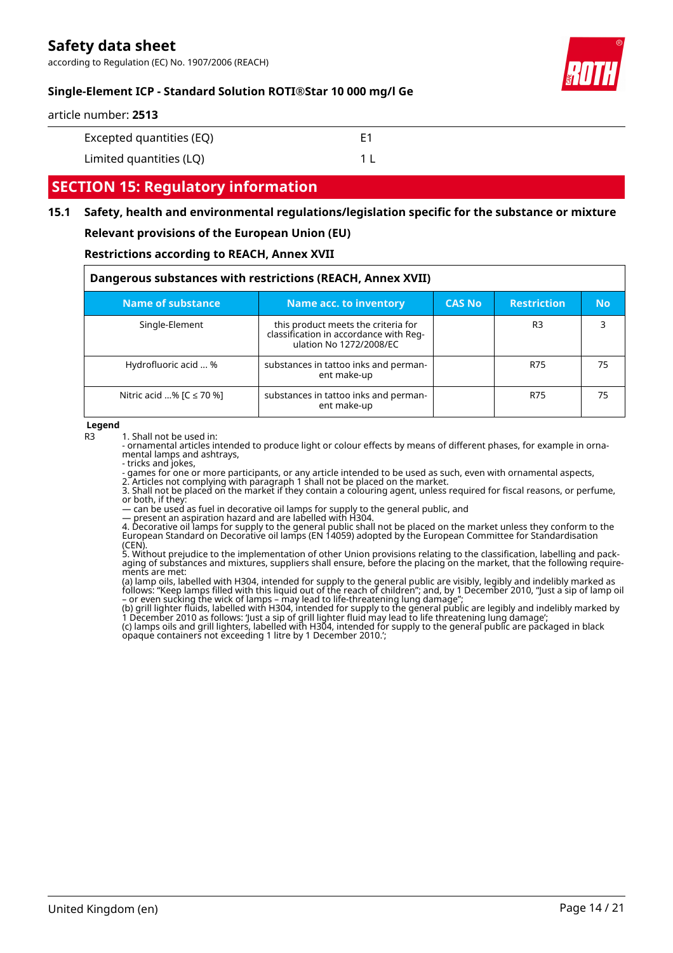according to Regulation (EC) No. 1907/2006 (REACH)



#### **Single-Element ICP - Standard Solution ROTI®Star 10 000 mg/l Ge**

article number: **2513**

| Excepted quantities (EQ) | Ε1 |
|--------------------------|----|
|--------------------------|----|

Limited quantities (LQ) 1 L

### **SECTION 15: Regulatory information**

#### **15.1 Safety, health and environmental regulations/legislation specific for the substance or mixture**

#### **Relevant provisions of the European Union (EU)**

#### **Restrictions according to REACH, Annex XVII**

| Dangerous substances with restrictions (REACH, Annex XVII) |                                                                                                          |               |                    |           |
|------------------------------------------------------------|----------------------------------------------------------------------------------------------------------|---------------|--------------------|-----------|
| Name of substance                                          | <b>Name acc. to inventory</b>                                                                            | <b>CAS No</b> | <b>Restriction</b> | <b>No</b> |
| Single-Element                                             | this product meets the criteria for<br>classification in accordance with Reg-<br>ulation No 1272/2008/EC |               | R <sub>3</sub>     | 3         |
| Hydrofluoric acid  %                                       | substances in tattoo inks and perman-<br>ent make-up                                                     |               | R75                | 75        |
| Nitric acid % $[C \le 70$ %]                               | substances in tattoo inks and perman-<br>ent make-up                                                     |               | R75                | 75        |

**Legend**

R3 1. Shall not be used in:

- ornamental articles intended to produce light or colour effects by means of different phases, for example in ornamental lamps and ashtrays,

- tricks and jokes,

- games for one or more participants, or any article intended to be used as such, even with ornamental aspects,

2. Articles not complying with paragraph 1 shall not be placed on the market. 3. Shall not be placed on the market if they contain a colouring agent, unless required for fiscal reasons, or perfume, or both, if they:

— can be used as fuel in decorative oil lamps for supply to the general public, and

— present an aspiration hazard and are labelled with H304.

4. Decorative oil lamps for supply to the general public shall not be placed on the market unless they conform to the European Standard on Decorative oil lamps (EN 14059) adopted by the European Committee for Standardisation (CEN).

5. Without prejudice to the implementation of other Union provisions relating to the classification, labelling and packaging of substances and mixtures, suppliers shall ensure, before the placing on the market, that the following requirements are met:

(a) lamp oils, labelled with H304, intended for supply to the general public are visibly, legibly and indelibly marked as follows: "Keep lamps filled with this liquid out of the reach of children"; and, by 1 December 2010, "Just a sip of lamp oil – or even sucking the wick of lamps – may lead to life-threatening lung damage";

(b) grill lighter fluids, labelled with H304, intended for supply to the general public are legibly and indelibly marked by 1 December 2010 as follows: 'Just a sip of grill lighter fluid may lead to life threatening lung damage'; (c) lamps oils and grill lighters, labelled with H304, intended for supply to the general public are packaged in black opaque containers not exceeding 1 litre by 1 December 2010.';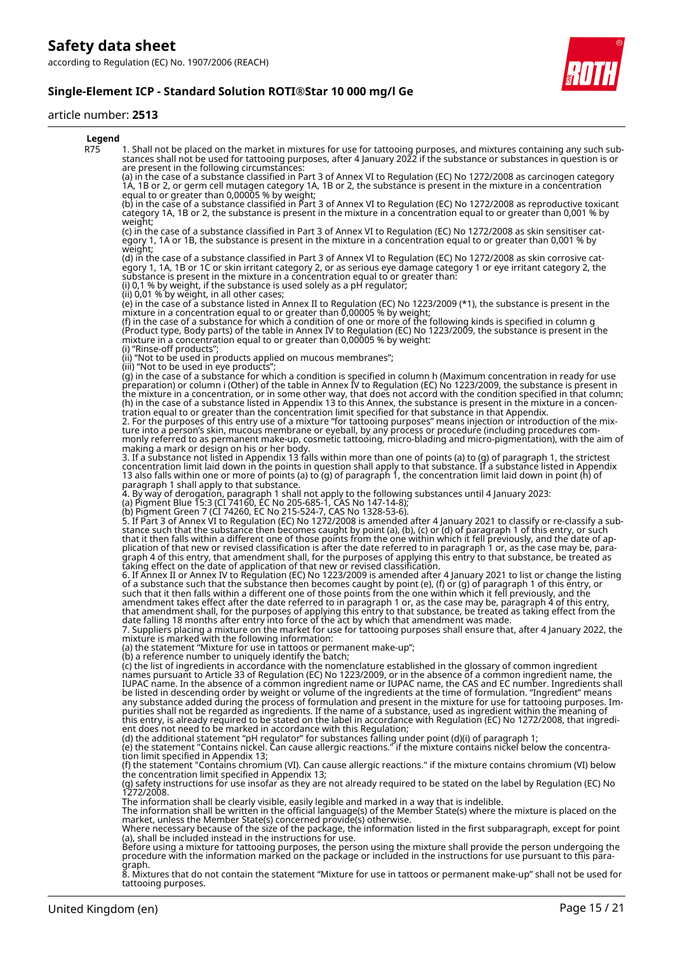#### **Single-Element ICP - Standard Solution ROTI®Star 10 000 mg/l Ge**

#### article number: **2513**

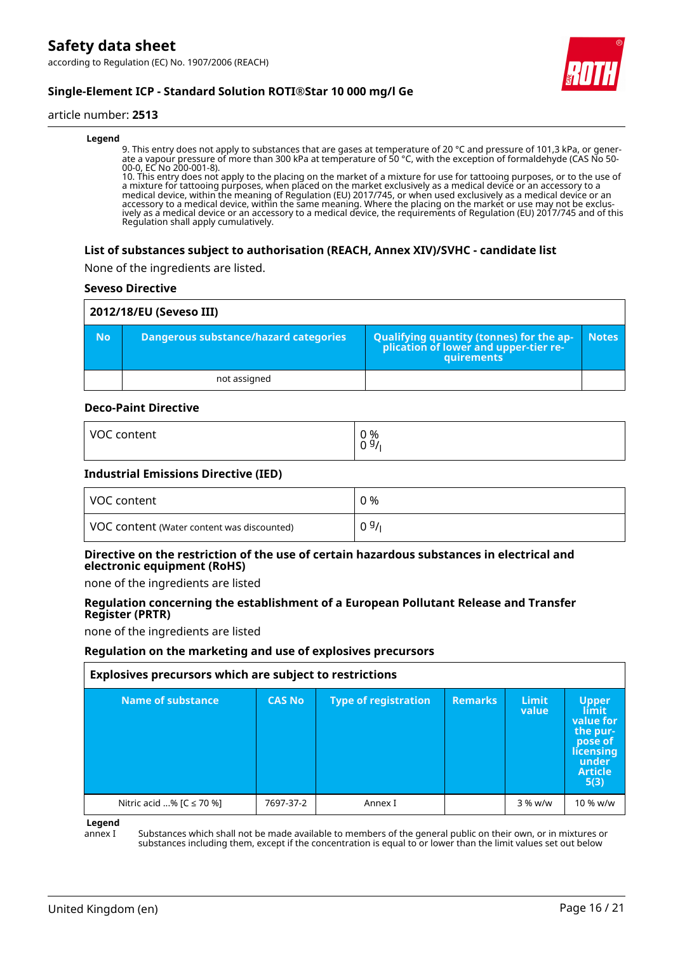according to Regulation (EC) No. 1907/2006 (REACH)



### **Single-Element ICP - Standard Solution ROTI®Star 10 000 mg/l Ge**

#### article number: **2513**

#### **Legend**

9. This entry does not apply to substances that are gases at temperature of 20 °C and pressure of 101,3 kPa, or generate a vapour pressure of more than 300 kPa at temperature of 50 °C, with the exception of formaldehyde (CAS No 50- 00-0, EC No 200-001-8).

10. This entry does not apply to the placing on the market of a mixture for use for tattooing purposes, or to the use of a mixture for tattooing purposes, when placed on the market exclusively as a medical device or an accessory to a medical device, within the meaning of Regulation (EU) 2017/745, or when used exclusively as a medical device or an accessory to a medical device, within the same meaning. Where the placing on the market or use may not be exclusively as a medical device or an accessory to a medical device, the requirements of Regulation (EU) 2017/745 and of this Regulation shall apply cumulatively.

#### **List of substances subject to authorisation (REACH, Annex XIV)/SVHC - candidate list**

None of the ingredients are listed.

#### **Seveso Directive**

|           | 2012/18/EU (Seveso III)               |                                                                                                   |              |  |  |
|-----------|---------------------------------------|---------------------------------------------------------------------------------------------------|--------------|--|--|
| <b>No</b> | Dangerous substance/hazard categories | Qualifying quantity (tonnes) for the application of lower and upper-tier re-<br><b>auirements</b> | <b>Notes</b> |  |  |
|           | not assigned                          |                                                                                                   |              |  |  |

#### **Deco-Paint Directive**

| <b>VOC</b> | 0 % |
|------------|-----|
| content    | 09/ |
|            |     |

#### **Industrial Emissions Directive (IED)**

| VOC content                                | 0 %  |
|--------------------------------------------|------|
| VOC content (Water content was discounted) | 09/1 |

#### **Directive on the restriction of the use of certain hazardous substances in electrical and electronic equipment (RoHS)**

none of the ingredients are listed

#### **Regulation concerning the establishment of a European Pollutant Release and Transfer Register (PRTR)**

none of the ingredients are listed

#### **Regulation on the marketing and use of explosives precursors**

| Explosives precursors which are subject to restrictions |               |                             |                |                       |                                                                                                           |
|---------------------------------------------------------|---------------|-----------------------------|----------------|-----------------------|-----------------------------------------------------------------------------------------------------------|
| Name of substance                                       | <b>CAS No</b> | <b>Type of registration</b> | <b>Remarks</b> | <b>Limit</b><br>value | <b>Upper</b><br>límit<br>value for<br>the pur-<br>pose of<br>licensing<br>under<br><b>Article</b><br>5(3) |
| Nitric acid % [C ≤ 70 %]                                | 7697-37-2     | Annex I                     |                | 3 % w/w               | 10 % w/w                                                                                                  |

**Legend**

annex I Substances which shall not be made available to members of the general public on their own, or in mixtures or substances including them, except if the concentration is equal to or lower than the limit values set out below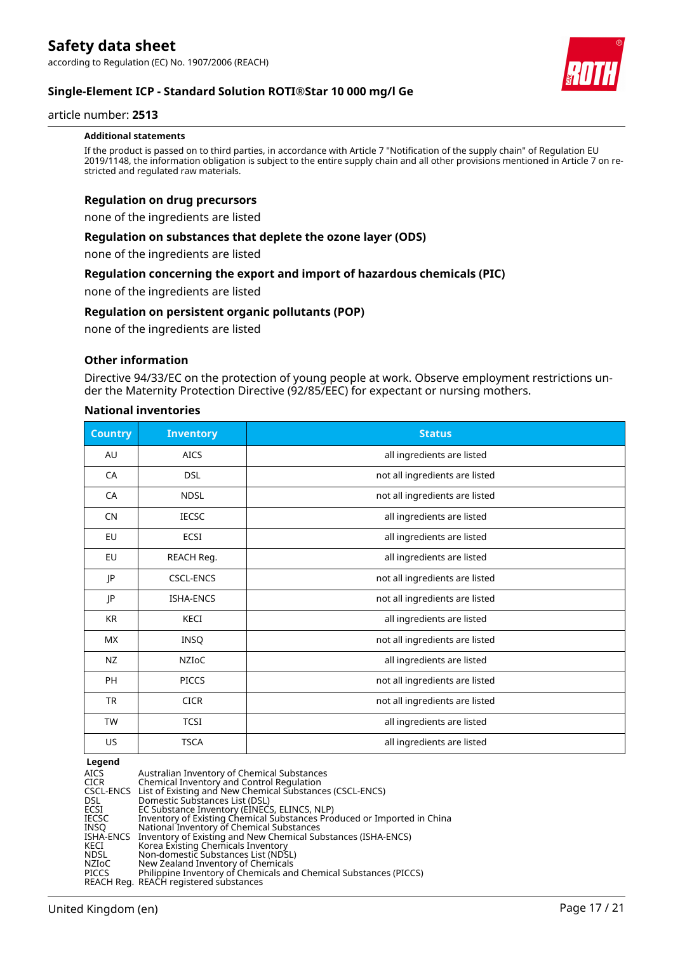**Single-Element ICP - Standard Solution ROTI®Star 10 000 mg/l Ge**

#### article number: **2513**

#### **Additional statements**

If the product is passed on to third parties, in accordance with Article 7 "Notification of the supply chain" of Regulation EU 2019/1148, the information obligation is subject to the entire supply chain and all other provisions mentioned in Article 7 on restricted and regulated raw materials.

#### **Regulation on drug precursors**

none of the ingredients are listed

#### **Regulation on substances that deplete the ozone layer (ODS)**

none of the ingredients are listed

#### **Regulation concerning the export and import of hazardous chemicals (PIC)**

none of the ingredients are listed

#### **Regulation on persistent organic pollutants (POP)**

none of the ingredients are listed

#### **Other information**

Directive 94/33/EC on the protection of young people at work. Observe employment restrictions under the Maternity Protection Directive (92/85/EEC) for expectant or nursing mothers.

#### **National inventories**

| <b>Country</b> | <b>Inventory</b> | <b>Status</b>                  |
|----------------|------------------|--------------------------------|
| AU             | <b>AICS</b>      | all ingredients are listed     |
| CA             | <b>DSL</b>       | not all ingredients are listed |
| <b>CA</b>      | <b>NDSL</b>      | not all ingredients are listed |
| <b>CN</b>      | <b>IECSC</b>     | all ingredients are listed     |
| EU             | ECSI             | all ingredients are listed     |
| EU             | REACH Reg.       | all ingredients are listed     |
| JP             | <b>CSCL-ENCS</b> | not all ingredients are listed |
| JP             | <b>ISHA-ENCS</b> | not all ingredients are listed |
| <b>KR</b>      | <b>KECI</b>      | all ingredients are listed     |
| <b>MX</b>      | INSQ             | not all ingredients are listed |
| NZ             | <b>NZIOC</b>     | all ingredients are listed     |
| <b>PH</b>      | <b>PICCS</b>     | not all ingredients are listed |
| <b>TR</b>      | <b>CICR</b>      | not all ingredients are listed |
| <b>TW</b>      | <b>TCSI</b>      | all ingredients are listed     |
| <b>US</b>      | <b>TSCA</b>      | all ingredients are listed     |

#### **Legend**

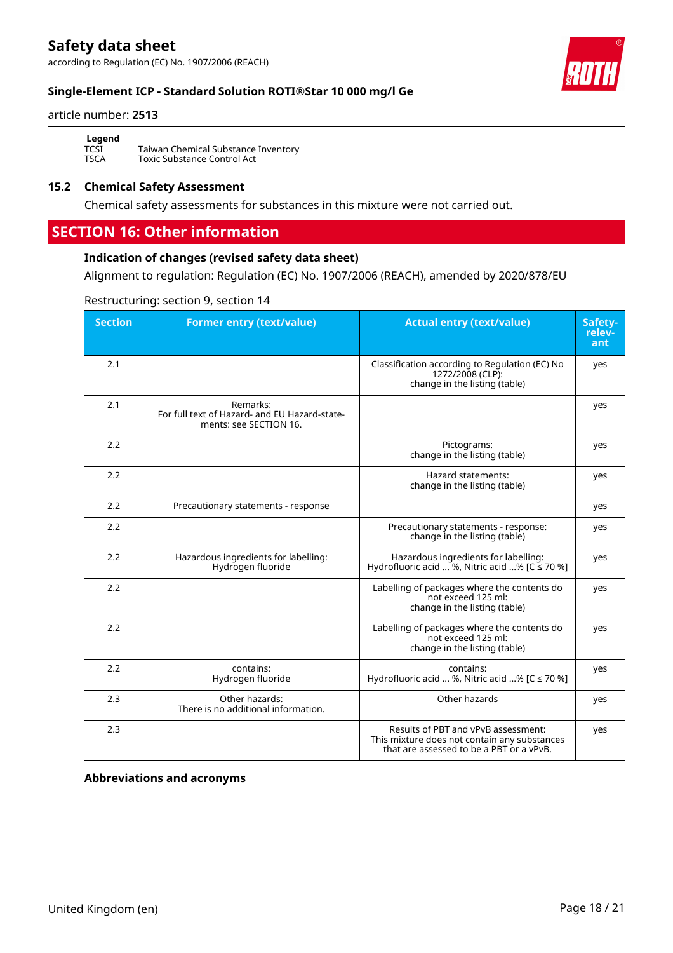according to Regulation (EC) No. 1907/2006 (REACH)

#### **Single-Element ICP - Standard Solution ROTI®Star 10 000 mg/l Ge**

#### article number: **2513**

**Legend**<br>TCSI<br>TSCA

Taiwan Chemical Substance Inventory Toxic Substance Control Act

#### **15.2 Chemical Safety Assessment**

Chemical safety assessments for substances in this mixture were not carried out.

### **SECTION 16: Other information**

#### **Indication of changes (revised safety data sheet)**

Alignment to regulation: Regulation (EC) No. 1907/2006 (REACH), amended by 2020/878/EU

#### Restructuring: section 9, section 14

| <b>Section</b> | <b>Former entry (text/value)</b>                                                    | <b>Actual entry (text/value)</b>                                                                                                | Safety-<br>relev-<br>ant |
|----------------|-------------------------------------------------------------------------------------|---------------------------------------------------------------------------------------------------------------------------------|--------------------------|
| 2.1            |                                                                                     | Classification according to Regulation (EC) No<br>1272/2008 (CLP):<br>change in the listing (table)                             | yes                      |
| 2.1            | Remarks:<br>For full text of Hazard- and EU Hazard-state-<br>ments: see SECTION 16. |                                                                                                                                 | yes                      |
| 2.2            |                                                                                     | Pictograms:<br>change in the listing (table)                                                                                    | yes                      |
| 2.2            |                                                                                     | Hazard statements:<br>change in the listing (table)                                                                             | yes                      |
| 2.2            | Precautionary statements - response                                                 |                                                                                                                                 | yes                      |
| 2.2            |                                                                                     | Precautionary statements - response:<br>change in the listing (table)                                                           | yes                      |
| 2.2            | Hazardous ingredients for labelling:<br>Hydrogen fluoride                           | Hazardous ingredients for labelling:<br>Hydrofluoric acid  %, Nitric acid % [ $C \le 70$ %]                                     | yes                      |
| 2.2            |                                                                                     | Labelling of packages where the contents do<br>not exceed 125 ml:<br>change in the listing (table)                              | yes                      |
| 2.2            |                                                                                     | Labelling of packages where the contents do<br>not exceed 125 ml:<br>change in the listing (table)                              | yes                      |
| 2.2            | contains:<br>Hydrogen fluoride                                                      | contains:<br>Hydrofluoric acid  %, Nitric acid % [C ≤ 70 %]                                                                     | yes                      |
| 2.3            | Other hazards:<br>There is no additional information.                               | Other hazards                                                                                                                   | yes                      |
| 2.3            |                                                                                     | Results of PBT and vPvB assessment:<br>This mixture does not contain any substances<br>that are assessed to be a PBT or a vPvB. | yes                      |

**Abbreviations and acronyms**

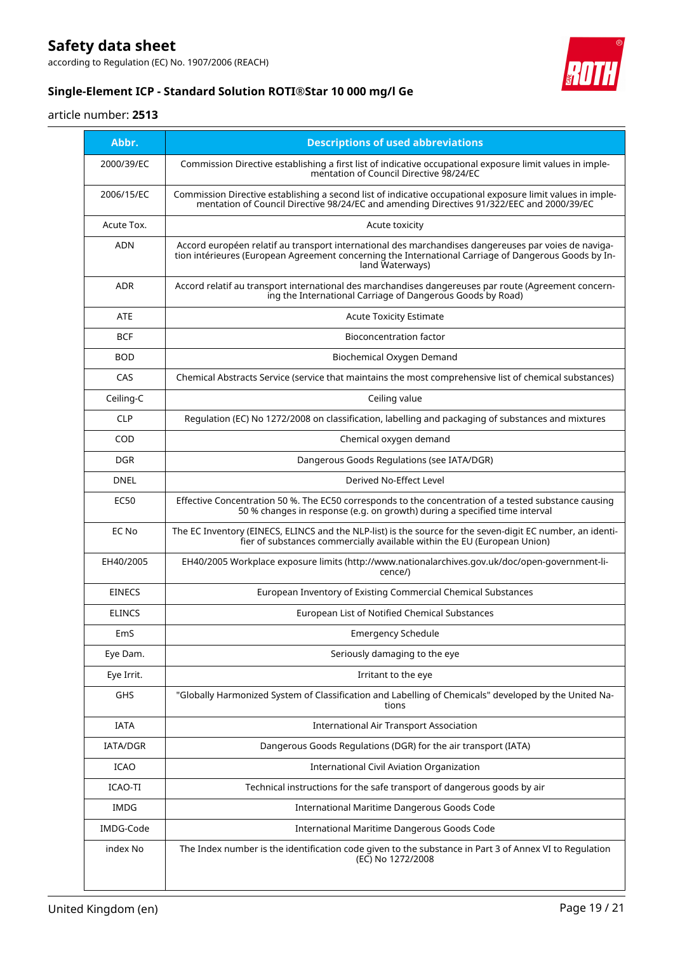according to Regulation (EC) No. 1907/2006 (REACH)



### **Single-Element ICP - Standard Solution ROTI®Star 10 000 mg/l Ge**

#### article number: **2513**

| Abbr.         | <b>Descriptions of used abbreviations</b>                                                                                                                                                                                       |
|---------------|---------------------------------------------------------------------------------------------------------------------------------------------------------------------------------------------------------------------------------|
| 2000/39/EC    | Commission Directive establishing a first list of indicative occupational exposure limit values in imple-<br>mentation of Council Directive 98/24/EC                                                                            |
| 2006/15/EC    | Commission Directive establishing a second list of indicative occupational exposure limit values in imple-<br>mentation of Council Directive 98/24/EC and amending Directives 91/322/EEC and 2000/39/EC                         |
| Acute Tox.    | Acute toxicity                                                                                                                                                                                                                  |
| <b>ADN</b>    | Accord européen relatif au transport international des marchandises dangereuses par voies de naviga-<br>tion intérieures (European Agreement concerning the International Carriage of Dangerous Goods by In-<br>land Waterways) |
| ADR           | Accord relatif au transport international des marchandises dangereuses par route (Agreement concern-<br>ing the International Carriage of Dangerous Goods by Road)                                                              |
| <b>ATE</b>    | <b>Acute Toxicity Estimate</b>                                                                                                                                                                                                  |
| BCF           | Bioconcentration factor                                                                                                                                                                                                         |
| <b>BOD</b>    | Biochemical Oxygen Demand                                                                                                                                                                                                       |
| CAS           | Chemical Abstracts Service (service that maintains the most comprehensive list of chemical substances)                                                                                                                          |
| Ceiling-C     | Ceiling value                                                                                                                                                                                                                   |
| <b>CLP</b>    | Regulation (EC) No 1272/2008 on classification, labelling and packaging of substances and mixtures                                                                                                                              |
| COD           | Chemical oxygen demand                                                                                                                                                                                                          |
| <b>DGR</b>    | Dangerous Goods Regulations (see IATA/DGR)                                                                                                                                                                                      |
| <b>DNEL</b>   | Derived No-Effect Level                                                                                                                                                                                                         |
| <b>EC50</b>   | Effective Concentration 50 %. The EC50 corresponds to the concentration of a tested substance causing<br>50 % changes in response (e.g. on growth) during a specified time interval                                             |
| EC No         | The EC Inventory (EINECS, ELINCS and the NLP-list) is the source for the seven-digit EC number, an identi-<br>fier of substances commercially available within the EU (European Union)                                          |
| EH40/2005     | EH40/2005 Workplace exposure limits (http://www.nationalarchives.gov.uk/doc/open-government-li-<br>cence/)                                                                                                                      |
| <b>EINECS</b> | European Inventory of Existing Commercial Chemical Substances                                                                                                                                                                   |
| <b>ELINCS</b> | European List of Notified Chemical Substances                                                                                                                                                                                   |
| EmS           | <b>Emergency Schedule</b>                                                                                                                                                                                                       |
| Eye Dam.      | Seriously damaging to the eye                                                                                                                                                                                                   |
| Eye Irrit.    | Irritant to the eye                                                                                                                                                                                                             |
| GHS           | "Globally Harmonized System of Classification and Labelling of Chemicals" developed by the United Na-<br>tions                                                                                                                  |
| <b>IATA</b>   | <b>International Air Transport Association</b>                                                                                                                                                                                  |
| IATA/DGR      | Dangerous Goods Regulations (DGR) for the air transport (IATA)                                                                                                                                                                  |
| ICAO          | International Civil Aviation Organization                                                                                                                                                                                       |
| ICAO-TI       | Technical instructions for the safe transport of dangerous goods by air                                                                                                                                                         |
| <b>IMDG</b>   | International Maritime Dangerous Goods Code                                                                                                                                                                                     |
| IMDG-Code     | International Maritime Dangerous Goods Code                                                                                                                                                                                     |
| index No      | The Index number is the identification code given to the substance in Part 3 of Annex VI to Regulation<br>(EC) No 1272/2008                                                                                                     |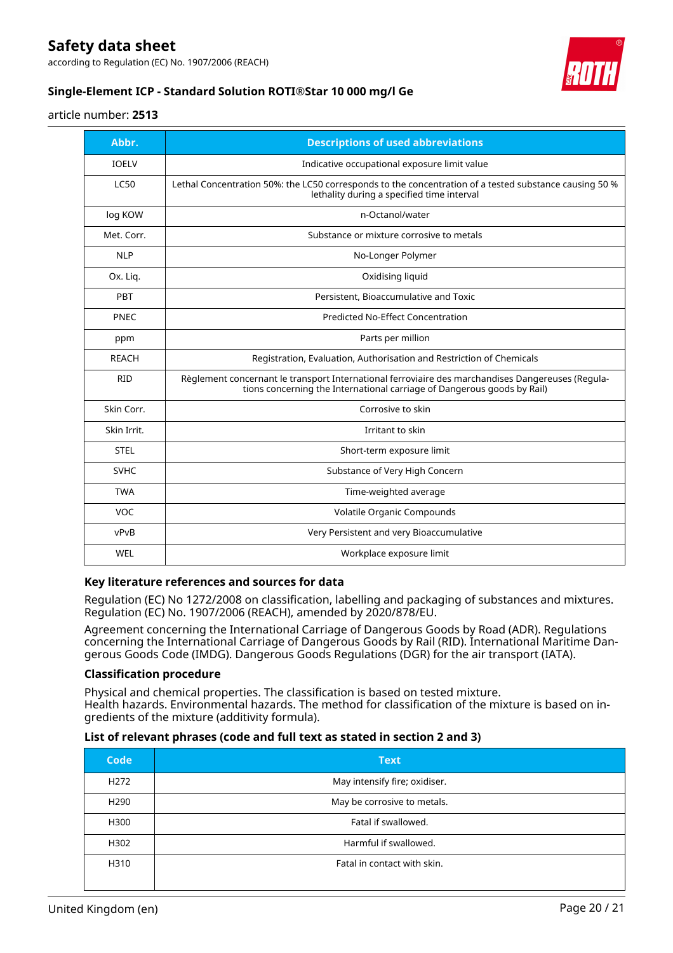according to Regulation (EC) No. 1907/2006 (REACH)



### **Single-Element ICP - Standard Solution ROTI®Star 10 000 mg/l Ge**

#### article number: **2513**

| Abbr.        | <b>Descriptions of used abbreviations</b>                                                                                                                                    |
|--------------|------------------------------------------------------------------------------------------------------------------------------------------------------------------------------|
| <b>IOELV</b> | Indicative occupational exposure limit value                                                                                                                                 |
| <b>LC50</b>  | Lethal Concentration 50%: the LC50 corresponds to the concentration of a tested substance causing 50 %<br>lethality during a specified time interval                         |
| log KOW      | n-Octanol/water                                                                                                                                                              |
| Met. Corr.   | Substance or mixture corrosive to metals                                                                                                                                     |
| <b>NLP</b>   | No-Longer Polymer                                                                                                                                                            |
| Ox. Liq.     | Oxidising liquid                                                                                                                                                             |
| PBT          | Persistent, Bioaccumulative and Toxic                                                                                                                                        |
| <b>PNEC</b>  | Predicted No-Effect Concentration                                                                                                                                            |
| ppm          | Parts per million                                                                                                                                                            |
| <b>REACH</b> | Registration, Evaluation, Authorisation and Restriction of Chemicals                                                                                                         |
| <b>RID</b>   | Règlement concernant le transport International ferroviaire des marchandises Dangereuses (Regula-<br>tions concerning the International carriage of Dangerous goods by Rail) |
| Skin Corr.   | Corrosive to skin                                                                                                                                                            |
| Skin Irrit.  | Irritant to skin                                                                                                                                                             |
| <b>STEL</b>  | Short-term exposure limit                                                                                                                                                    |
| <b>SVHC</b>  | Substance of Very High Concern                                                                                                                                               |
| <b>TWA</b>   | Time-weighted average                                                                                                                                                        |
| VOC.         | Volatile Organic Compounds                                                                                                                                                   |
| vPvB         | Very Persistent and very Bioaccumulative                                                                                                                                     |
| WEL          | Workplace exposure limit                                                                                                                                                     |

#### **Key literature references and sources for data**

Regulation (EC) No 1272/2008 on classification, labelling and packaging of substances and mixtures. Regulation (EC) No. 1907/2006 (REACH), amended by 2020/878/EU.

Agreement concerning the International Carriage of Dangerous Goods by Road (ADR). Regulations concerning the International Carriage of Dangerous Goods by Rail (RID). International Maritime Dangerous Goods Code (IMDG). Dangerous Goods Regulations (DGR) for the air transport (IATA).

#### **Classification procedure**

Physical and chemical properties. The classification is based on tested mixture. Health hazards. Environmental hazards. The method for classification of the mixture is based on ingredients of the mixture (additivity formula).

#### **List of relevant phrases (code and full text as stated in section 2 and 3)**

| <b>Code</b>      | <b>Text</b>                   |
|------------------|-------------------------------|
| H <sub>272</sub> | May intensify fire; oxidiser. |
| H <sub>290</sub> | May be corrosive to metals.   |
| H300             | Fatal if swallowed.           |
| H302             | Harmful if swallowed.         |
| H310             | Fatal in contact with skin.   |